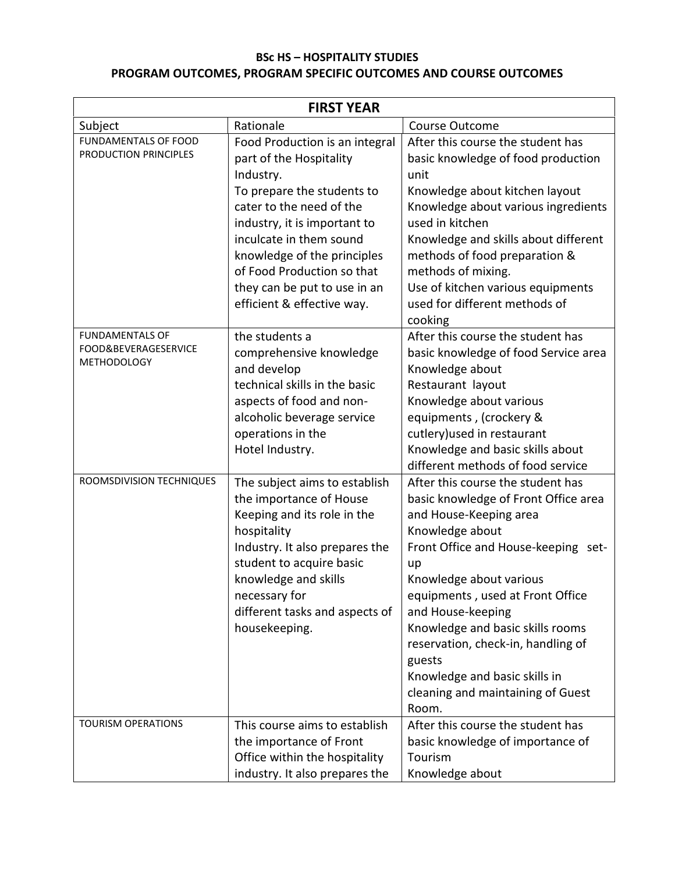# **BSc HS – HOSPITALITY STUDIES PROGRAM OUTCOMES, PROGRAM SPECIFIC OUTCOMES AND COURSE OUTCOMES**

| <b>FIRST YEAR</b>                                                    |                                                                                                                                                                                                                                                                                                                        |                                                                                                                                                                                                                                                                                                                                                                                                                            |
|----------------------------------------------------------------------|------------------------------------------------------------------------------------------------------------------------------------------------------------------------------------------------------------------------------------------------------------------------------------------------------------------------|----------------------------------------------------------------------------------------------------------------------------------------------------------------------------------------------------------------------------------------------------------------------------------------------------------------------------------------------------------------------------------------------------------------------------|
| Subject                                                              | Rationale                                                                                                                                                                                                                                                                                                              | Course Outcome                                                                                                                                                                                                                                                                                                                                                                                                             |
| FUNDAMENTALS OF FOOD<br>PRODUCTION PRINCIPLES                        | Food Production is an integral<br>part of the Hospitality<br>Industry.<br>To prepare the students to<br>cater to the need of the<br>industry, it is important to<br>inculcate in them sound<br>knowledge of the principles<br>of Food Production so that<br>they can be put to use in an<br>efficient & effective way. | After this course the student has<br>basic knowledge of food production<br>unit<br>Knowledge about kitchen layout<br>Knowledge about various ingredients<br>used in kitchen<br>Knowledge and skills about different<br>methods of food preparation &<br>methods of mixing.<br>Use of kitchen various equipments<br>used for different methods of                                                                           |
| <b>FUNDAMENTALS OF</b><br>FOOD&BEVERAGESERVICE<br><b>METHODOLOGY</b> | the students a<br>comprehensive knowledge<br>and develop<br>technical skills in the basic<br>aspects of food and non-<br>alcoholic beverage service<br>operations in the<br>Hotel Industry.                                                                                                                            | cooking<br>After this course the student has<br>basic knowledge of food Service area<br>Knowledge about<br>Restaurant layout<br>Knowledge about various<br>equipments, (crockery &<br>cutlery) used in restaurant<br>Knowledge and basic skills about<br>different methods of food service                                                                                                                                 |
| ROOMSDIVISION TECHNIQUES                                             | The subject aims to establish<br>the importance of House<br>Keeping and its role in the<br>hospitality<br>Industry. It also prepares the<br>student to acquire basic<br>knowledge and skills<br>necessary for<br>different tasks and aspects of<br>housekeeping.                                                       | After this course the student has<br>basic knowledge of Front Office area<br>and House-Keeping area<br>Knowledge about<br>Front Office and House-keeping set-<br>up<br>Knowledge about various<br>equipments, used at Front Office<br>and House-keeping<br>Knowledge and basic skills rooms<br>reservation, check-in, handling of<br>guests<br>Knowledge and basic skills in<br>cleaning and maintaining of Guest<br>Room. |
| <b>TOURISM OPERATIONS</b>                                            | This course aims to establish<br>the importance of Front<br>Office within the hospitality<br>industry. It also prepares the                                                                                                                                                                                            | After this course the student has<br>basic knowledge of importance of<br>Tourism<br>Knowledge about                                                                                                                                                                                                                                                                                                                        |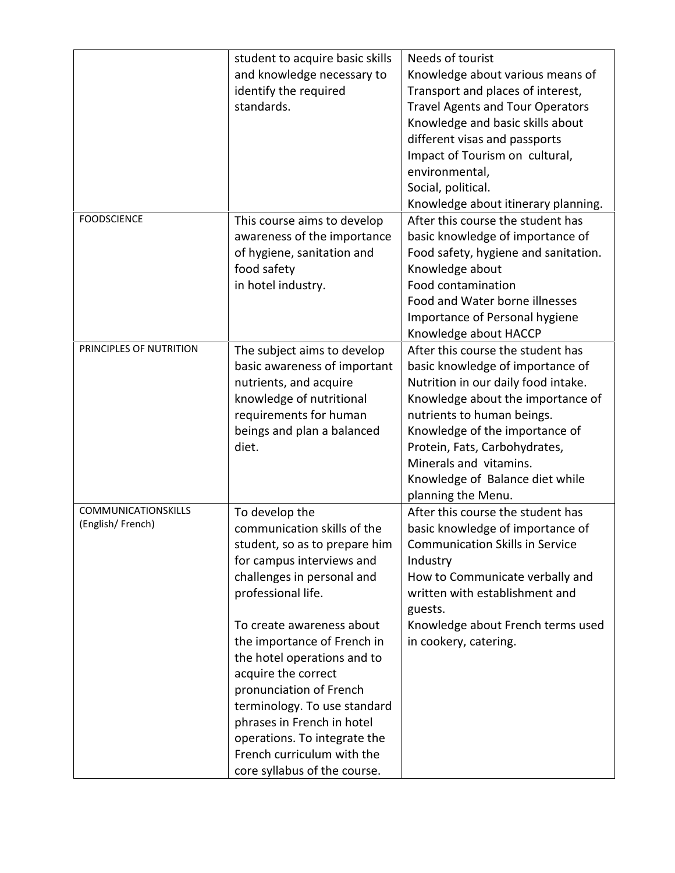|                            | student to acquire basic skills | Needs of tourist                        |
|----------------------------|---------------------------------|-----------------------------------------|
|                            | and knowledge necessary to      | Knowledge about various means of        |
|                            | identify the required           | Transport and places of interest,       |
|                            | standards.                      | <b>Travel Agents and Tour Operators</b> |
|                            |                                 | Knowledge and basic skills about        |
|                            |                                 | different visas and passports           |
|                            |                                 | Impact of Tourism on cultural,          |
|                            |                                 | environmental,                          |
|                            |                                 | Social, political.                      |
|                            |                                 | Knowledge about itinerary planning.     |
| <b>FOODSCIENCE</b>         | This course aims to develop     | After this course the student has       |
|                            | awareness of the importance     | basic knowledge of importance of        |
|                            | of hygiene, sanitation and      | Food safety, hygiene and sanitation.    |
|                            | food safety                     | Knowledge about                         |
|                            | in hotel industry.              | Food contamination                      |
|                            |                                 | Food and Water borne illnesses          |
|                            |                                 | Importance of Personal hygiene          |
|                            |                                 | Knowledge about HACCP                   |
| PRINCIPLES OF NUTRITION    | The subject aims to develop     | After this course the student has       |
|                            | basic awareness of important    | basic knowledge of importance of        |
|                            | nutrients, and acquire          | Nutrition in our daily food intake.     |
|                            | knowledge of nutritional        | Knowledge about the importance of       |
|                            | requirements for human          | nutrients to human beings.              |
|                            | beings and plan a balanced      | Knowledge of the importance of          |
|                            | diet.                           | Protein, Fats, Carbohydrates,           |
|                            |                                 | Minerals and vitamins.                  |
|                            |                                 | Knowledge of Balance diet while         |
|                            |                                 | planning the Menu.                      |
| <b>COMMUNICATIONSKILLS</b> | To develop the                  | After this course the student has       |
| (English/French)           | communication skills of the     | basic knowledge of importance of        |
|                            | student, so as to prepare him   | <b>Communication Skills in Service</b>  |
|                            | for campus interviews and       | Industry                                |
|                            | challenges in personal and      | How to Communicate verbally and         |
|                            | professional life.              | written with establishment and          |
|                            |                                 | guests.                                 |
|                            | To create awareness about       | Knowledge about French terms used       |
|                            | the importance of French in     | in cookery, catering.                   |
|                            | the hotel operations and to     |                                         |
|                            | acquire the correct             |                                         |
|                            | pronunciation of French         |                                         |
|                            | terminology. To use standard    |                                         |
|                            | phrases in French in hotel      |                                         |
|                            | operations. To integrate the    |                                         |
|                            | French curriculum with the      |                                         |
|                            | core syllabus of the course.    |                                         |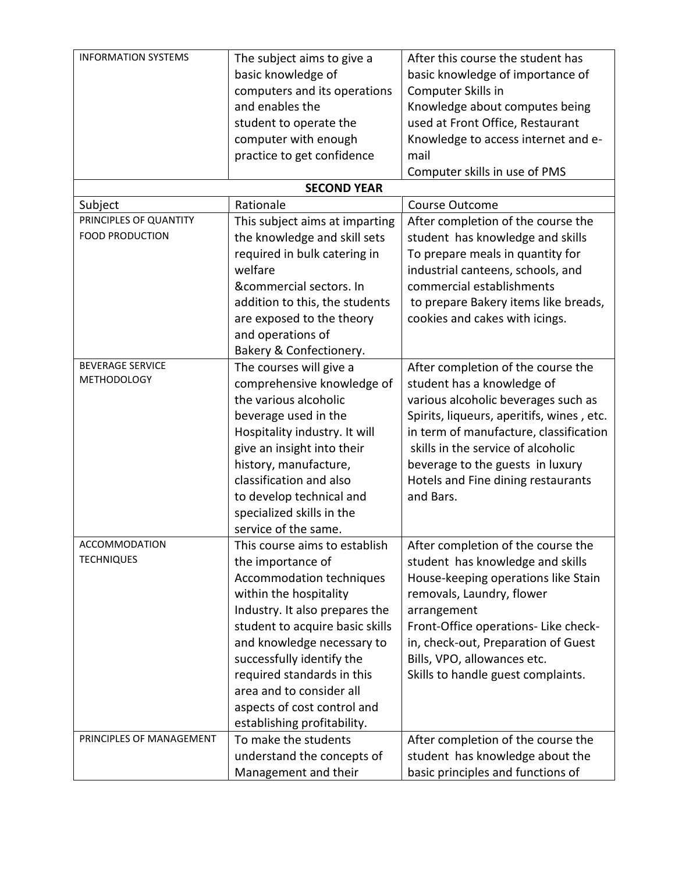| <b>INFORMATION SYSTEMS</b> | The subject aims to give a      | After this course the student has         |
|----------------------------|---------------------------------|-------------------------------------------|
|                            | basic knowledge of              | basic knowledge of importance of          |
|                            | computers and its operations    | Computer Skills in                        |
|                            | and enables the                 | Knowledge about computes being            |
|                            | student to operate the          | used at Front Office, Restaurant          |
|                            | computer with enough            | Knowledge to access internet and e-       |
|                            | practice to get confidence      | mail                                      |
|                            |                                 | Computer skills in use of PMS             |
|                            | <b>SECOND YEAR</b>              |                                           |
| Subject                    | Rationale                       | Course Outcome                            |
| PRINCIPLES OF QUANTITY     | This subject aims at imparting  | After completion of the course the        |
| FOOD PRODUCTION            | the knowledge and skill sets    | student has knowledge and skills          |
|                            | required in bulk catering in    | To prepare meals in quantity for          |
|                            | welfare                         | industrial canteens, schools, and         |
|                            | &commercial sectors. In         | commercial establishments                 |
|                            | addition to this, the students  | to prepare Bakery items like breads,      |
|                            | are exposed to the theory       | cookies and cakes with icings.            |
|                            | and operations of               |                                           |
|                            | Bakery & Confectionery.         |                                           |
| <b>BEVERAGE SERVICE</b>    | The courses will give a         | After completion of the course the        |
| <b>METHODOLOGY</b>         | comprehensive knowledge of      | student has a knowledge of                |
|                            | the various alcoholic           | various alcoholic beverages such as       |
|                            | beverage used in the            | Spirits, liqueurs, aperitifs, wines, etc. |
|                            | Hospitality industry. It will   | in term of manufacture, classification    |
|                            | give an insight into their      | skills in the service of alcoholic        |
|                            | history, manufacture,           | beverage to the guests in luxury          |
|                            | classification and also         | Hotels and Fine dining restaurants        |
|                            | to develop technical and        | and Bars.                                 |
|                            | specialized skills in the       |                                           |
|                            | service of the same.            |                                           |
| ACCOMMODATION              | This course aims to establish   | After completion of the course the        |
| <b>TECHNIQUES</b>          | the importance of               | student has knowledge and skills          |
|                            | Accommodation techniques        | House-keeping operations like Stain       |
|                            | within the hospitality          | removals, Laundry, flower                 |
|                            | Industry. It also prepares the  | arrangement                               |
|                            | student to acquire basic skills | Front-Office operations- Like check-      |
|                            | and knowledge necessary to      | in, check-out, Preparation of Guest       |
|                            | successfully identify the       | Bills, VPO, allowances etc.               |
|                            | required standards in this      | Skills to handle guest complaints.        |
|                            | area and to consider all        |                                           |
|                            | aspects of cost control and     |                                           |
|                            | establishing profitability.     |                                           |
| PRINCIPLES OF MANAGEMENT   | To make the students            | After completion of the course the        |
|                            | understand the concepts of      | student has knowledge about the           |
|                            | Management and their            | basic principles and functions of         |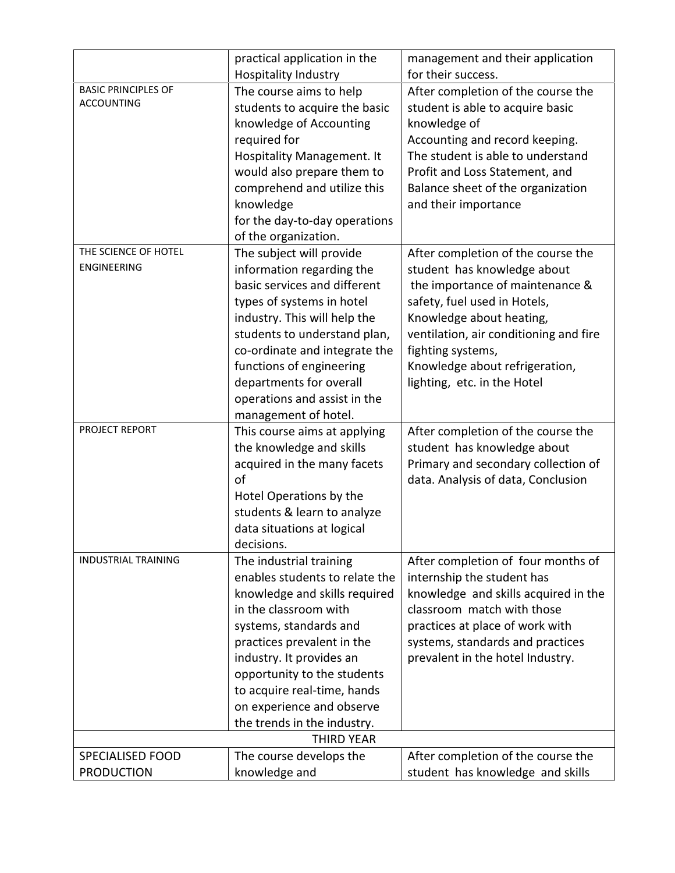|                            | practical application in the   | management and their application       |
|----------------------------|--------------------------------|----------------------------------------|
|                            | <b>Hospitality Industry</b>    | for their success.                     |
| <b>BASIC PRINCIPLES OF</b> | The course aims to help        | After completion of the course the     |
| <b>ACCOUNTING</b>          | students to acquire the basic  | student is able to acquire basic       |
|                            | knowledge of Accounting        | knowledge of                           |
|                            | required for                   | Accounting and record keeping.         |
|                            | Hospitality Management. It     | The student is able to understand      |
|                            | would also prepare them to     | Profit and Loss Statement, and         |
|                            | comprehend and utilize this    | Balance sheet of the organization      |
|                            | knowledge                      | and their importance                   |
|                            | for the day-to-day operations  |                                        |
|                            | of the organization.           |                                        |
| THE SCIENCE OF HOTEL       | The subject will provide       | After completion of the course the     |
| ENGINEERING                | information regarding the      | student has knowledge about            |
|                            | basic services and different   | the importance of maintenance &        |
|                            | types of systems in hotel      | safety, fuel used in Hotels,           |
|                            | industry. This will help the   | Knowledge about heating,               |
|                            | students to understand plan,   | ventilation, air conditioning and fire |
|                            | co-ordinate and integrate the  | fighting systems,                      |
|                            | functions of engineering       | Knowledge about refrigeration,         |
|                            | departments for overall        | lighting, etc. in the Hotel            |
|                            | operations and assist in the   |                                        |
|                            | management of hotel.           |                                        |
| PROJECT REPORT             | This course aims at applying   | After completion of the course the     |
|                            | the knowledge and skills       | student has knowledge about            |
|                            | acquired in the many facets    | Primary and secondary collection of    |
|                            | of                             | data. Analysis of data, Conclusion     |
|                            | Hotel Operations by the        |                                        |
|                            | students & learn to analyze    |                                        |
|                            | data situations at logical     |                                        |
|                            | decisions.                     |                                        |
| <b>INDUSTRIAL TRAINING</b> | The industrial training        | After completion of four months of     |
|                            | enables students to relate the | internship the student has             |
|                            | knowledge and skills required  | knowledge and skills acquired in the   |
|                            | in the classroom with          | classroom match with those             |
|                            | systems, standards and         | practices at place of work with        |
|                            | practices prevalent in the     | systems, standards and practices       |
|                            | industry. It provides an       | prevalent in the hotel Industry.       |
|                            | opportunity to the students    |                                        |
|                            | to acquire real-time, hands    |                                        |
|                            | on experience and observe      |                                        |
|                            | the trends in the industry.    |                                        |
|                            | <b>THIRD YEAR</b>              |                                        |
| <b>SPECIALISED FOOD</b>    | The course develops the        | After completion of the course the     |
| <b>PRODUCTION</b>          | knowledge and                  | student has knowledge and skills       |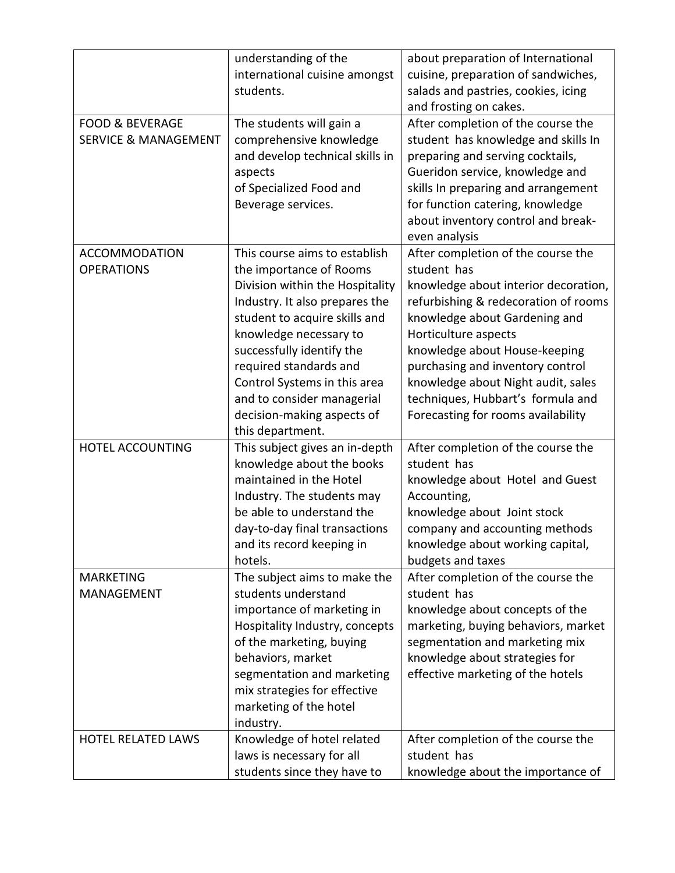|                                                               | understanding of the<br>international cuisine amongst<br>students.                                                                                                                                                                                                                                                                                              | about preparation of International<br>cuisine, preparation of sandwiches,<br>salads and pastries, cookies, icing<br>and frosting on cakes.                                                                                                                                                                                                                                       |
|---------------------------------------------------------------|-----------------------------------------------------------------------------------------------------------------------------------------------------------------------------------------------------------------------------------------------------------------------------------------------------------------------------------------------------------------|----------------------------------------------------------------------------------------------------------------------------------------------------------------------------------------------------------------------------------------------------------------------------------------------------------------------------------------------------------------------------------|
| <b>FOOD &amp; BEVERAGE</b><br><b>SERVICE &amp; MANAGEMENT</b> | The students will gain a<br>comprehensive knowledge<br>and develop technical skills in<br>aspects<br>of Specialized Food and<br>Beverage services.                                                                                                                                                                                                              | After completion of the course the<br>student has knowledge and skills In<br>preparing and serving cocktails,<br>Gueridon service, knowledge and<br>skills In preparing and arrangement<br>for function catering, knowledge<br>about inventory control and break-<br>even analysis                                                                                               |
| <b>ACCOMMODATION</b><br><b>OPERATIONS</b>                     | This course aims to establish<br>the importance of Rooms<br>Division within the Hospitality<br>Industry. It also prepares the<br>student to acquire skills and<br>knowledge necessary to<br>successfully identify the<br>required standards and<br>Control Systems in this area<br>and to consider managerial<br>decision-making aspects of<br>this department. | After completion of the course the<br>student has<br>knowledge about interior decoration,<br>refurbishing & redecoration of rooms<br>knowledge about Gardening and<br>Horticulture aspects<br>knowledge about House-keeping<br>purchasing and inventory control<br>knowledge about Night audit, sales<br>techniques, Hubbart's formula and<br>Forecasting for rooms availability |
| HOTEL ACCOUNTING                                              | This subject gives an in-depth<br>knowledge about the books<br>maintained in the Hotel<br>Industry. The students may<br>be able to understand the<br>day-to-day final transactions<br>and its record keeping in<br>hotels.                                                                                                                                      | After completion of the course the<br>student has<br>knowledge about Hotel and Guest<br>Accounting,<br>knowledge about Joint stock<br>company and accounting methods<br>knowledge about working capital,<br>budgets and taxes                                                                                                                                                    |
| <b>MARKETING</b><br>MANAGEMENT                                | The subject aims to make the<br>students understand<br>importance of marketing in<br>Hospitality Industry, concepts<br>of the marketing, buying<br>behaviors, market<br>segmentation and marketing<br>mix strategies for effective<br>marketing of the hotel<br>industry.                                                                                       | After completion of the course the<br>student has<br>knowledge about concepts of the<br>marketing, buying behaviors, market<br>segmentation and marketing mix<br>knowledge about strategies for<br>effective marketing of the hotels                                                                                                                                             |
| <b>HOTEL RELATED LAWS</b>                                     | Knowledge of hotel related<br>laws is necessary for all<br>students since they have to                                                                                                                                                                                                                                                                          | After completion of the course the<br>student has<br>knowledge about the importance of                                                                                                                                                                                                                                                                                           |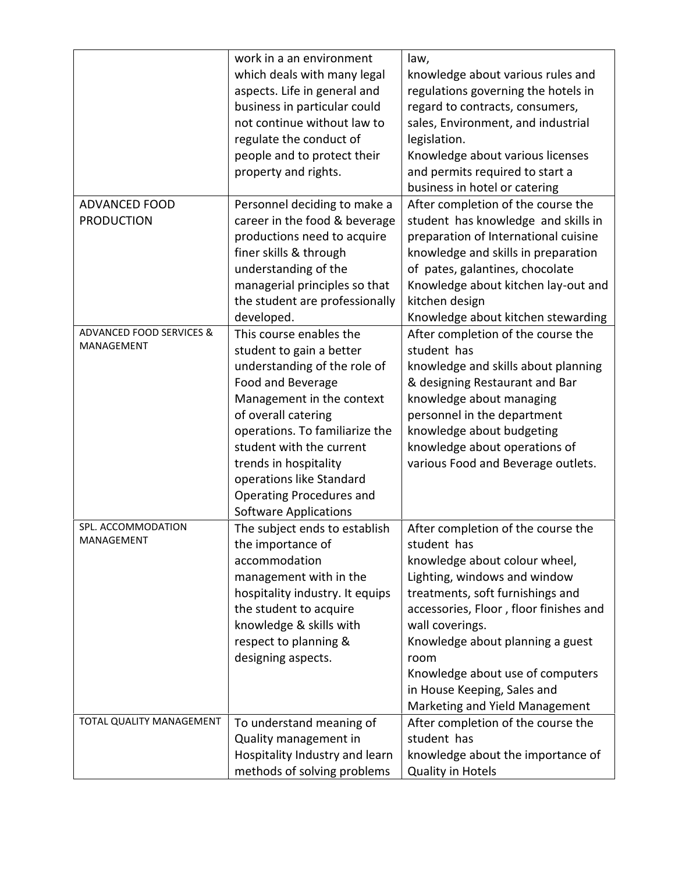|                                     | work in a an environment        | law,                                   |
|-------------------------------------|---------------------------------|----------------------------------------|
|                                     | which deals with many legal     | knowledge about various rules and      |
|                                     | aspects. Life in general and    | regulations governing the hotels in    |
|                                     | business in particular could    | regard to contracts, consumers,        |
|                                     | not continue without law to     | sales, Environment, and industrial     |
|                                     | regulate the conduct of         | legislation.                           |
|                                     | people and to protect their     | Knowledge about various licenses       |
|                                     | property and rights.            | and permits required to start a        |
|                                     |                                 | business in hotel or catering          |
| <b>ADVANCED FOOD</b>                | Personnel deciding to make a    | After completion of the course the     |
| <b>PRODUCTION</b>                   | career in the food & beverage   | student has knowledge and skills in    |
|                                     | productions need to acquire     | preparation of International cuisine   |
|                                     | finer skills & through          | knowledge and skills in preparation    |
|                                     | understanding of the            | of pates, galantines, chocolate        |
|                                     | managerial principles so that   | Knowledge about kitchen lay-out and    |
|                                     | the student are professionally  | kitchen design                         |
|                                     | developed.                      | Knowledge about kitchen stewarding     |
| <b>ADVANCED FOOD SERVICES &amp;</b> | This course enables the         | After completion of the course the     |
| MANAGEMENT                          | student to gain a better        | student has                            |
|                                     |                                 |                                        |
|                                     | understanding of the role of    | knowledge and skills about planning    |
|                                     | Food and Beverage               | & designing Restaurant and Bar         |
|                                     | Management in the context       | knowledge about managing               |
|                                     | of overall catering             | personnel in the department            |
|                                     | operations. To familiarize the  | knowledge about budgeting              |
|                                     | student with the current        | knowledge about operations of          |
|                                     | trends in hospitality           | various Food and Beverage outlets.     |
|                                     | operations like Standard        |                                        |
|                                     | Operating Procedures and        |                                        |
|                                     | <b>Software Applications</b>    |                                        |
| SPL. ACCOMMODATION<br>MANAGEMENT    | The subject ends to establish   | After completion of the course the     |
|                                     | the importance of               | student has                            |
|                                     | accommodation                   | knowledge about colour wheel,          |
|                                     | management with in the          | Lighting, windows and window           |
|                                     | hospitality industry. It equips | treatments, soft furnishings and       |
|                                     | the student to acquire          | accessories, Floor, floor finishes and |
|                                     | knowledge & skills with         | wall coverings.                        |
|                                     | respect to planning &           | Knowledge about planning a guest       |
|                                     | designing aspects.              | room                                   |
|                                     |                                 | Knowledge about use of computers       |
|                                     |                                 | in House Keeping, Sales and            |
|                                     |                                 | Marketing and Yield Management         |
| TOTAL QUALITY MANAGEMENT            | To understand meaning of        | After completion of the course the     |
|                                     | Quality management in           | student has                            |
|                                     | Hospitality Industry and learn  | knowledge about the importance of      |
|                                     | methods of solving problems     | Quality in Hotels                      |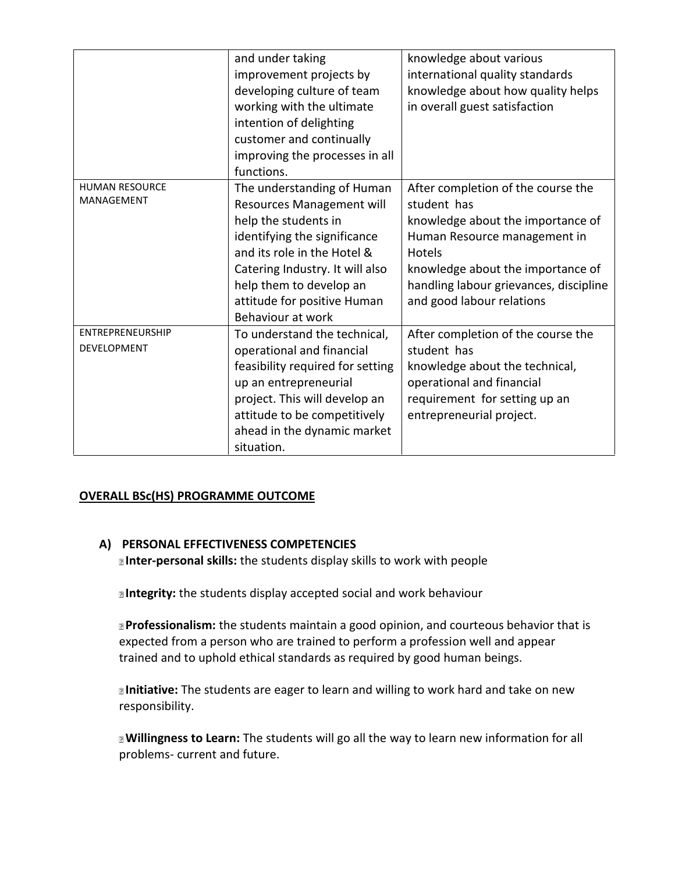|                                            | and under taking<br>improvement projects by<br>developing culture of team<br>working with the ultimate<br>intention of delighting<br>customer and continually<br>improving the processes in all                                                           | knowledge about various<br>international quality standards<br>knowledge about how quality helps<br>in overall guest satisfaction                                                                                                                    |
|--------------------------------------------|-----------------------------------------------------------------------------------------------------------------------------------------------------------------------------------------------------------------------------------------------------------|-----------------------------------------------------------------------------------------------------------------------------------------------------------------------------------------------------------------------------------------------------|
| <b>HUMAN RESOURCE</b><br><b>MANAGEMENT</b> | functions.<br>The understanding of Human<br>Resources Management will<br>help the students in<br>identifying the significance<br>and its role in the Hotel &<br>Catering Industry. It will also<br>help them to develop an<br>attitude for positive Human | After completion of the course the<br>student has<br>knowledge about the importance of<br>Human Resource management in<br><b>Hotels</b><br>knowledge about the importance of<br>handling labour grievances, discipline<br>and good labour relations |
| ENTREPRENEURSHIP<br>DEVELOPMENT            | Behaviour at work<br>To understand the technical,<br>operational and financial<br>feasibility required for setting<br>up an entrepreneurial<br>project. This will develop an<br>attitude to be competitively<br>ahead in the dynamic market<br>situation. | After completion of the course the<br>student has<br>knowledge about the technical,<br>operational and financial<br>requirement for setting up an<br>entrepreneurial project.                                                                       |

# **OVERALL BSc(HS) PROGRAMME OUTCOME**

#### **A) PERSONAL EFFECTIVENESS COMPETENCIES**

**Inter-personal skills:** the students display skills to work with people

**Integrity:** the students display accepted social and work behaviour

**Professionalism:** the students maintain a good opinion, and courteous behavior that is expected from a person who are trained to perform a profession well and appear trained and to uphold ethical standards as required by good human beings.

**Initiative:** The students are eager to learn and willing to work hard and take on new responsibility.

**Willingness to Learn:** The students will go all the way to learn new information for all problems- current and future.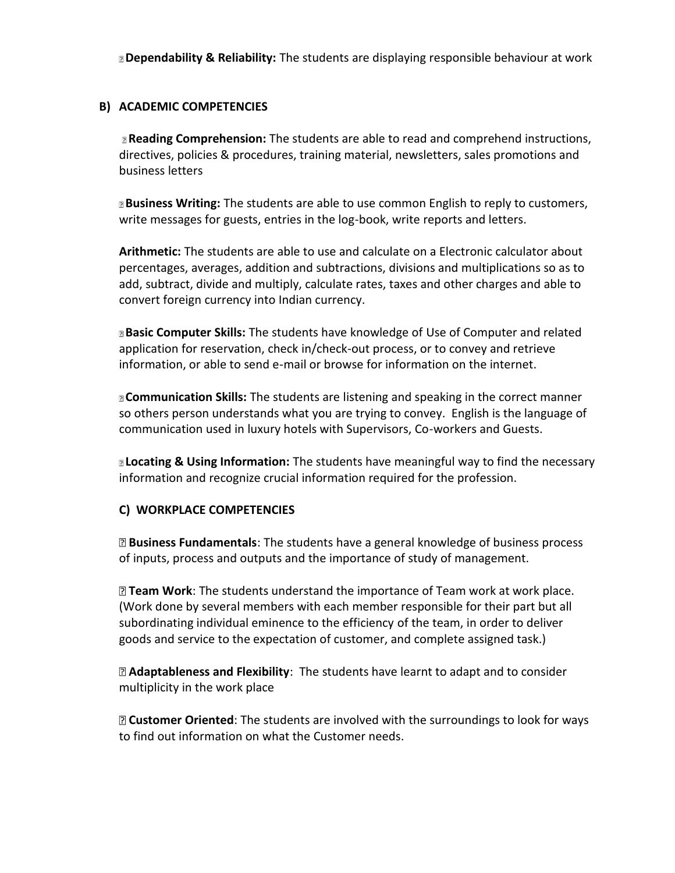**Dependability & Reliability:** The students are displaying responsible behaviour at work

### **B) ACADEMIC COMPETENCIES**

**Reading Comprehension:** The students are able to read and comprehend instructions, directives, policies & procedures, training material, newsletters, sales promotions and business letters

**Business Writing:** The students are able to use common English to reply to customers, write messages for guests, entries in the log-book, write reports and letters.

**Arithmetic:** The students are able to use and calculate on a Electronic calculator about percentages, averages, addition and subtractions, divisions and multiplications so as to add, subtract, divide and multiply, calculate rates, taxes and other charges and able to convert foreign currency into Indian currency.

**Basic Computer Skills:** The students have knowledge of Use of Computer and related application for reservation, check in/check-out process, or to convey and retrieve information, or able to send e-mail or browse for information on the internet.

**Communication Skills:** The students are listening and speaking in the correct manner so others person understands what you are trying to convey. English is the language of communication used in luxury hotels with Supervisors, Co-workers and Guests.

**Locating & Using Information:** The students have meaningful way to find the necessary information and recognize crucial information required for the profession.

# **C) WORKPLACE COMPETENCIES**

**Business Fundamentals**: The students have a general knowledge of business process of inputs, process and outputs and the importance of study of management.

**Team Work**: The students understand the importance of Team work at work place. (Work done by several members with each member responsible for their part but all subordinating individual eminence to the efficiency of the team, in order to deliver goods and service to the expectation of customer, and complete assigned task.)

**Adaptableness and Flexibility**: The students have learnt to adapt and to consider multiplicity in the work place

**Customer Oriented**: The students are involved with the surroundings to look for ways to find out information on what the Customer needs.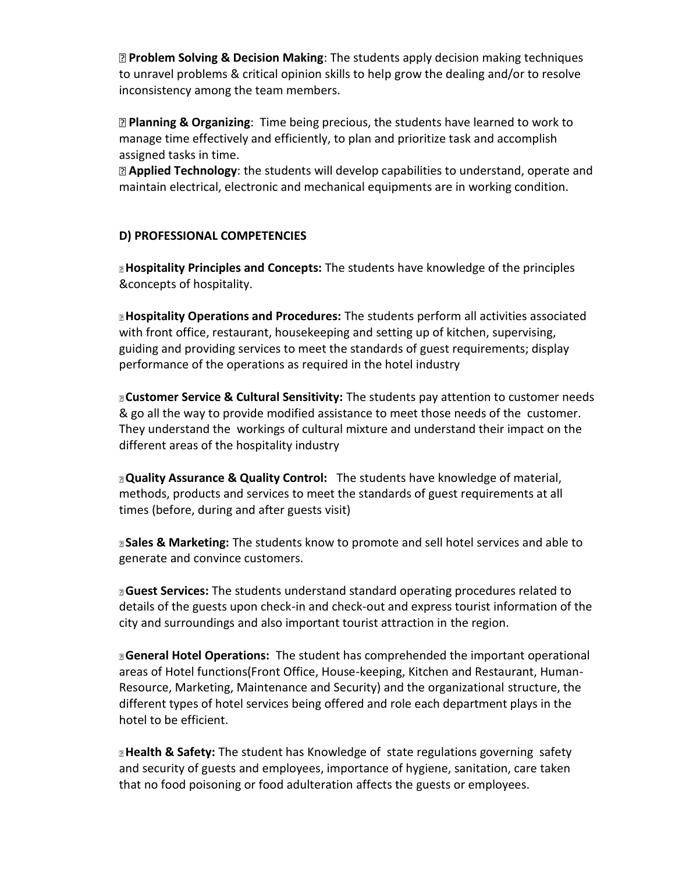**Problem Solving & Decision Making**: The students apply decision making techniques to unravel problems & critical opinion skills to help grow the dealing and/or to resolve inconsistency among the team members.

**Planning & Organizing**: Time being precious, the students have learned to work to manage time effectively and efficiently, to plan and prioritize task and accomplish assigned tasks in time.

**Applied Technology**: the students will develop capabilities to understand, operate and maintain electrical, electronic and mechanical equipments are in working condition.

# **D) PROFESSIONAL COMPETENCIES**

**Hospitality Principles and Concepts:** The students have knowledge of the principles &concepts of hospitality.

**Hospitality Operations and Procedures:** The students perform all activities associated with front office, restaurant, housekeeping and setting up of kitchen, supervising, guiding and providing services to meet the standards of guest requirements; display performance of the operations as required in the hotel industry

**Customer Service & Cultural Sensitivity:** The students pay attention to customer needs & go all the way to provide modified assistance to meet those needs of the customer. They understand the workings of cultural mixture and understand their impact on the different areas of the hospitality industry

**Quality Assurance & Quality Control:** The students have knowledge of material, methods, products and services to meet the standards of guest requirements at all times (before, during and after guests visit)

**Sales & Marketing:** The students know to promote and sell hotel services and able to generate and convince customers.

**Guest Services:** The students understand standard operating procedures related to details of the guests upon check-in and check-out and express tourist information of the city and surroundings and also important tourist attraction in the region.

**General Hotel Operations:** The student has comprehended the important operational areas of Hotel functions(Front Office, House-keeping, Kitchen and Restaurant, Human- Resource, Marketing, Maintenance and Security) and the organizational structure, the different types of hotel services being offered and role each department plays in the hotel to be efficient.

**Health & Safety:** The student has Knowledge of state regulations governing safety and security of guests and employees, importance of hygiene, sanitation, care taken that no food poisoning or food adulteration affects the guests or employees.